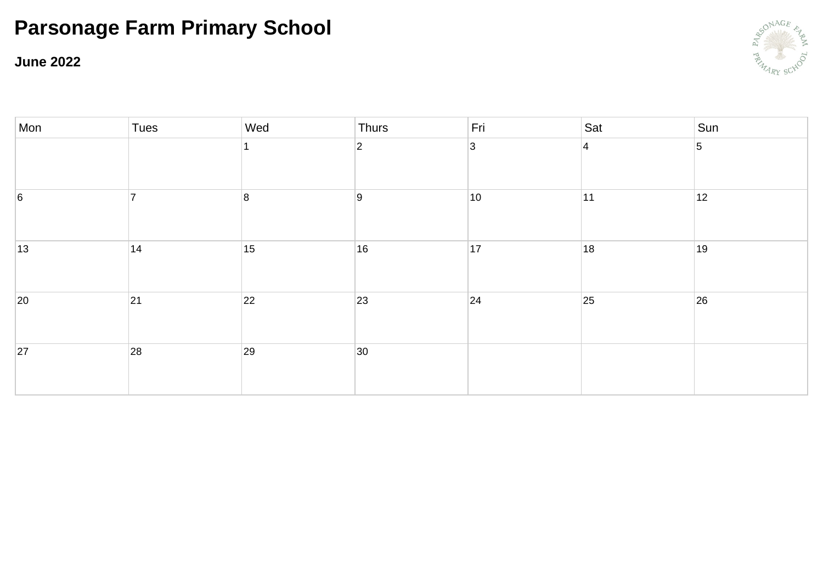**June 2022**



| Mon             | Tues           | Wed | Thurs          | Fri          | Sat            | Sun            |
|-----------------|----------------|-----|----------------|--------------|----------------|----------------|
|                 |                |     | $\overline{2}$ | 3            | $\overline{4}$ | $\overline{5}$ |
| $6\overline{6}$ | $\overline{7}$ | 8   | 9              | $ 10\rangle$ | 11             | 12             |
| 13              | 14             | 15  | 16             | 17           | 18             | 19             |
| 20              | 21             | 22  | 23             | 24           | 25             | 26             |
| 27              | 28             | 29  | 30             |              |                |                |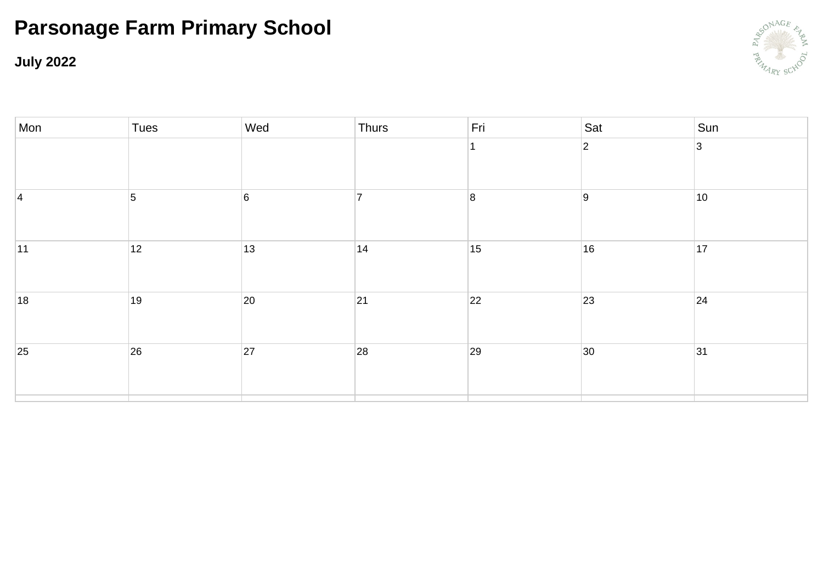**July 2022**



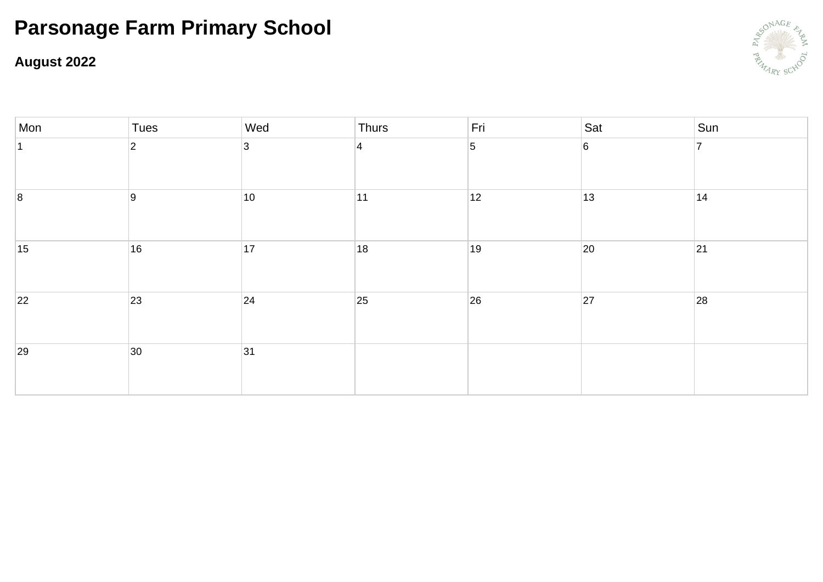### **August 2022**



| Mon | Tues           | Wed          | Thurs          | Fri            | Sat | Sun            |
|-----|----------------|--------------|----------------|----------------|-----|----------------|
|     | $\overline{2}$ | 3            | $\overline{4}$ | $\overline{5}$ | 6   | $\overline{7}$ |
| 8   | 9              | $ 10\rangle$ | 11             | 12             | 13  | 14             |
| 15  | 16             | 17           | 18             | 19             | 20  | 21             |
| 22  | 23             | 24           | 25             | 26             | 27  | 28             |
| 29  | $ 30\rangle$   | 31           |                |                |     |                |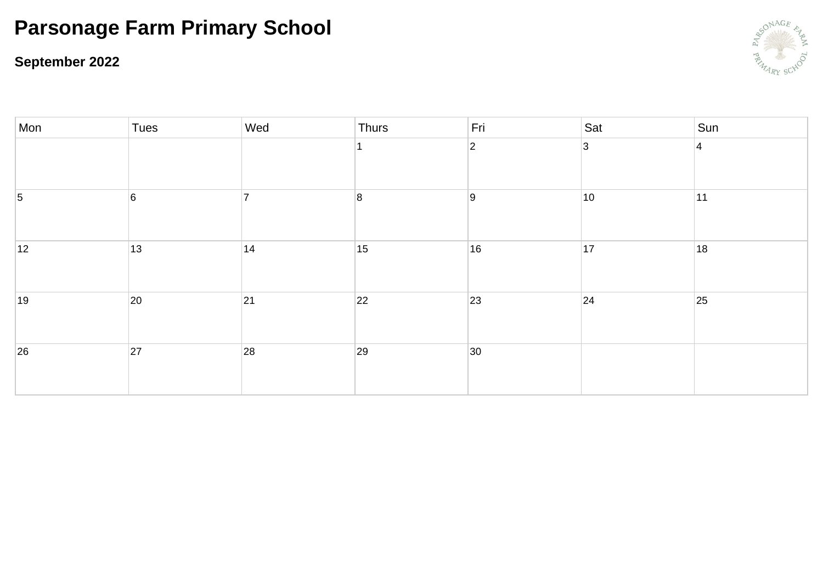### **September 2022**



| Mon             | Tues           | Wed | Thurs          | Fri          | Sat            | Sun       |
|-----------------|----------------|-----|----------------|--------------|----------------|-----------|
|                 |                |     |                | $ 2\rangle$  | $\overline{3}$ | $\vert$ 4 |
| $\vert 5 \vert$ | $6\phantom{a}$ |     | $\overline{8}$ | 9            | 10             | 11        |
| 12              | 13             | 14  | 15             | 16           | 17             | 18        |
| 19              | 20             | 21  | 22             | 23           | 24             | 25        |
| 26              | 27             | 28  | 29             | $ 30\rangle$ |                |           |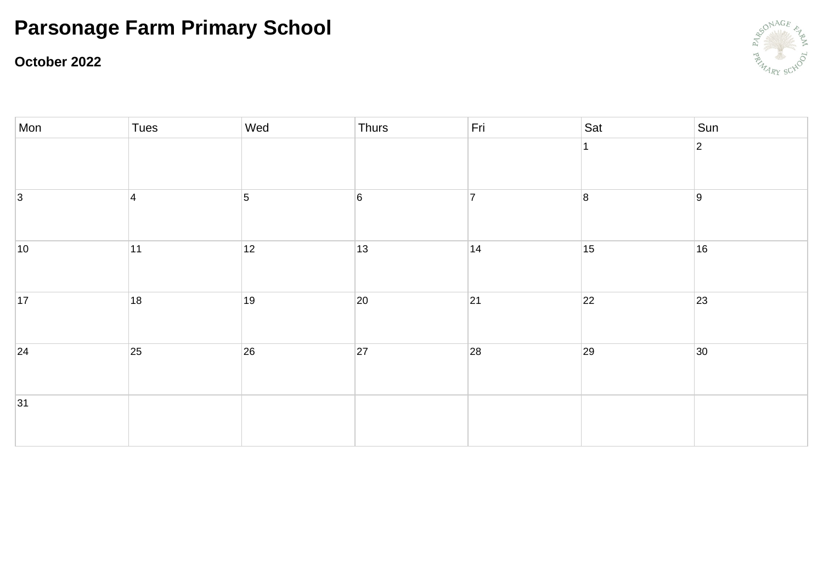#### **October 2022**



| Mon         | Tues      | Wed            | Thurs           | Fri            | Sat            | $\vert$ Sun |
|-------------|-----------|----------------|-----------------|----------------|----------------|-------------|
|             |           |                |                 |                | 1              | $ 2\rangle$ |
| $ 3\rangle$ | $\vert$ 4 | $\overline{5}$ | $6\overline{6}$ | $\overline{7}$ | $\overline{8}$ | 9           |
| 10          | 11        | 12             | 13              | 14             | 15             | 16          |
| 17          | 18        | 19             | 20              | 21             | 22             | 23          |
| 24          | 25        | 26             | 27              | 28             | 29             | 30          |
| 31          |           |                |                 |                |                |             |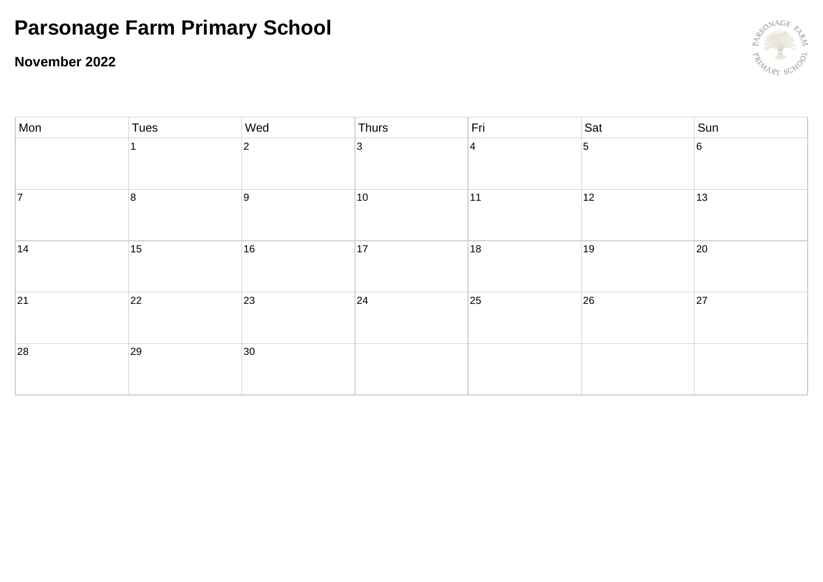### **November 2022**



| Mon            | Tues | Wed            | Thurs          | Fri       | Sat             | Sun             |
|----------------|------|----------------|----------------|-----------|-----------------|-----------------|
|                |      | $\overline{2}$ | $\overline{3}$ | $\vert$ 4 | $\vert 5 \vert$ | $6\overline{6}$ |
| $\overline{7}$ | 8    | 9              | 10             | 11        | 12              | 13              |
| 14             | 15   | 16             | 17             | 18        | 19              | 20              |
| 21             | 22   | 23             | 24             | 25        | 26              | 27              |
| 28             | 29   | 30             |                |           |                 |                 |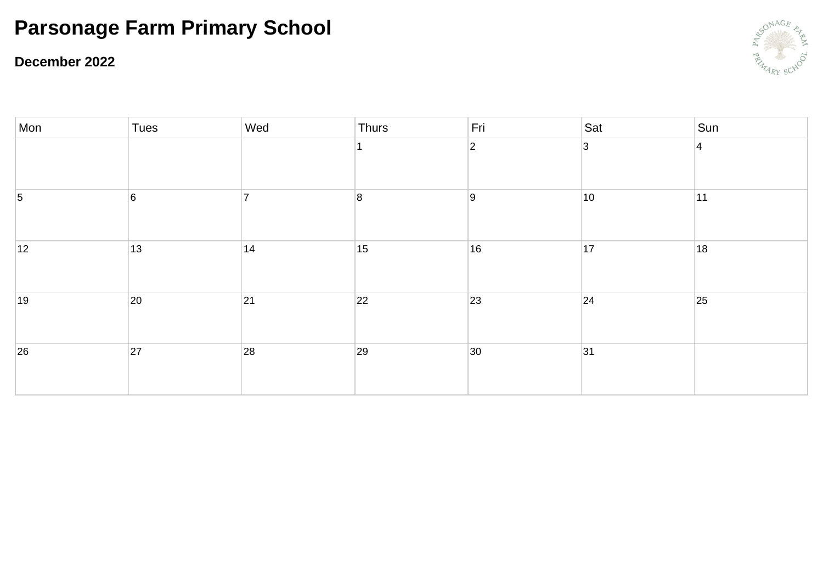#### **December 2022**



| Mon | Tues           | Wed | Thurs                   | Fri         | Sat         | Sun            |
|-----|----------------|-----|-------------------------|-------------|-------------|----------------|
|     |                |     |                         | $ 2\rangle$ | $ 3\rangle$ | $\overline{4}$ |
| 5   | $6\phantom{a}$ |     | $\overline{\mathbf{8}}$ | 9           | 10          | 11             |
| 12  | 13             | 14  | 15                      | 16          | 17          | 18             |
| 19  | 20             | 21  | 22                      | 23          | 24          | 25             |
| 26  | 27             | 28  | 29                      | 30          | 31          |                |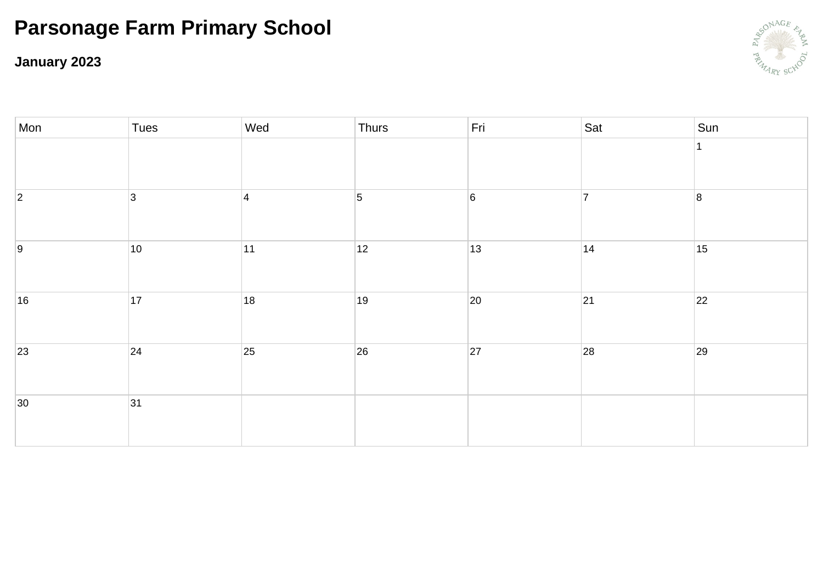**January 2023**



| Mon         | Tues         | Wed            | Thurs          | Fri             | Sat | Sun |
|-------------|--------------|----------------|----------------|-----------------|-----|-----|
|             |              |                |                |                 |     |     |
| $ 2\rangle$ | 3            | $\overline{4}$ | $\overline{5}$ | $6\overline{6}$ | 7   | 8   |
| 9           | $ 10\rangle$ | $ 11\rangle$   | 12             | 13              | 14  | 15  |
| 16          | 17           | 18             | 19             | 20              | 21  | 22  |
| 23          | $ 24\rangle$ | 25             | 26             | 27              | 28  | 29  |
| 30          | 31           |                |                |                 |     |     |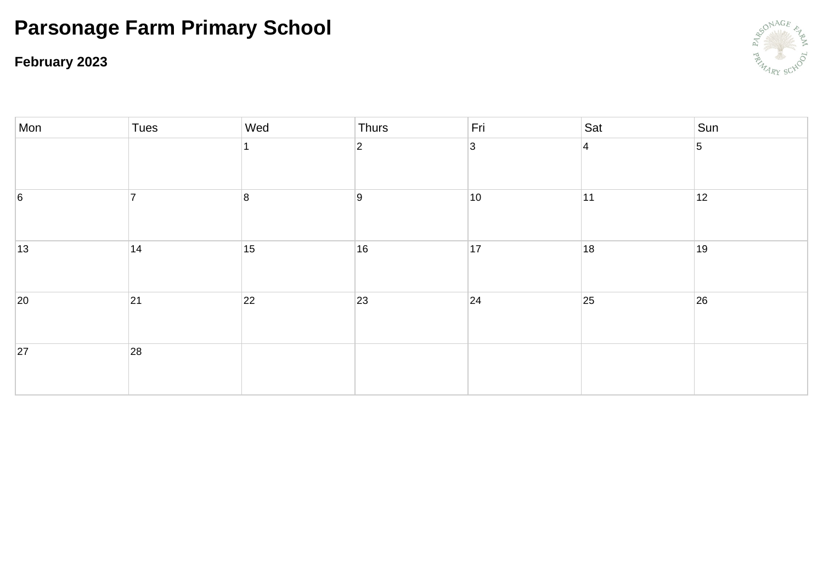**February 2023**



| Mon             | Tues | Wed            | Thurs          | Fri          | Sat       | Sun |
|-----------------|------|----------------|----------------|--------------|-----------|-----|
|                 |      |                | $\overline{2}$ | $\vert$ 3    | $\vert$ 4 | 5   |
| $6\overline{6}$ | ⇁    | $\overline{8}$ | 9              | $ 10\rangle$ | 11        | 12  |
| $ 13\rangle$    | 14   | 15             | 16             | 17           | 18        | 19  |
| 20              | 21   | 22             | 23             | 24           | 25        | 26  |
| 27              | 28   |                |                |              |           |     |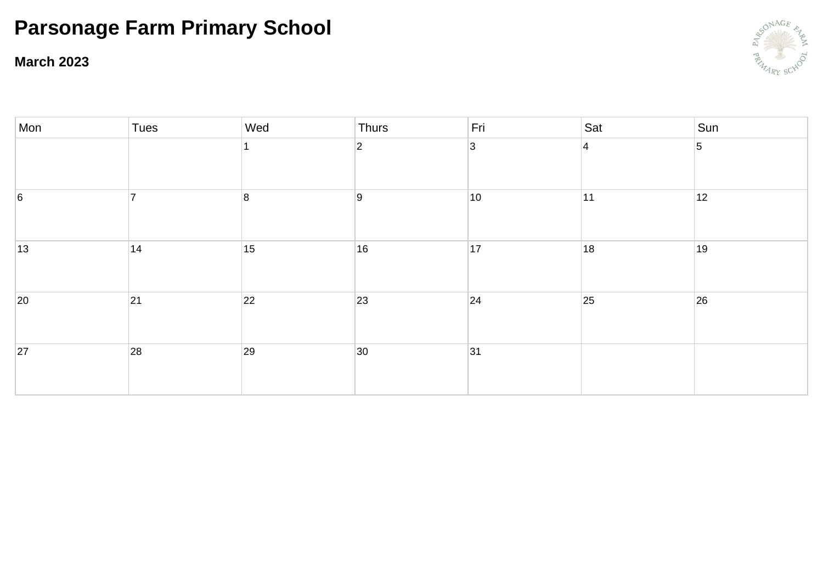**March 2023**



| Mon | Tues                     | Wed              | Thurs          | Fri            | Sat            | Sun            |
|-----|--------------------------|------------------|----------------|----------------|----------------|----------------|
|     |                          |                  | $\overline{2}$ | $\overline{3}$ | $\overline{4}$ | $\overline{5}$ |
| 6   | $\overline{\phantom{a}}$ | $\boldsymbol{8}$ | 9              | $ 10\rangle$   | 11             | 12             |
| 13  | 14                       | 15               | 16             | 17             | 18             | 19             |
| 20  | 21                       | 22               | 23             | 24             | 25             | 26             |
| 27  | 28                       | 29               | 30             | 31             |                |                |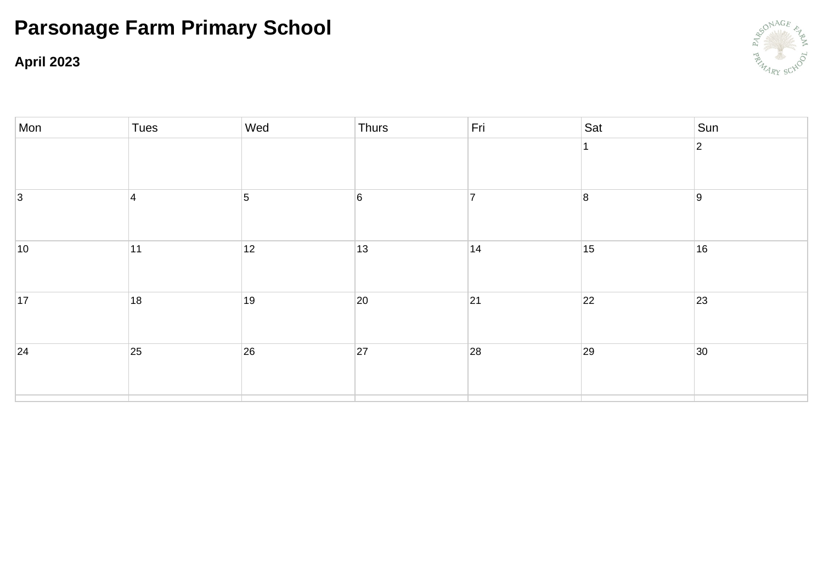**April 2023**